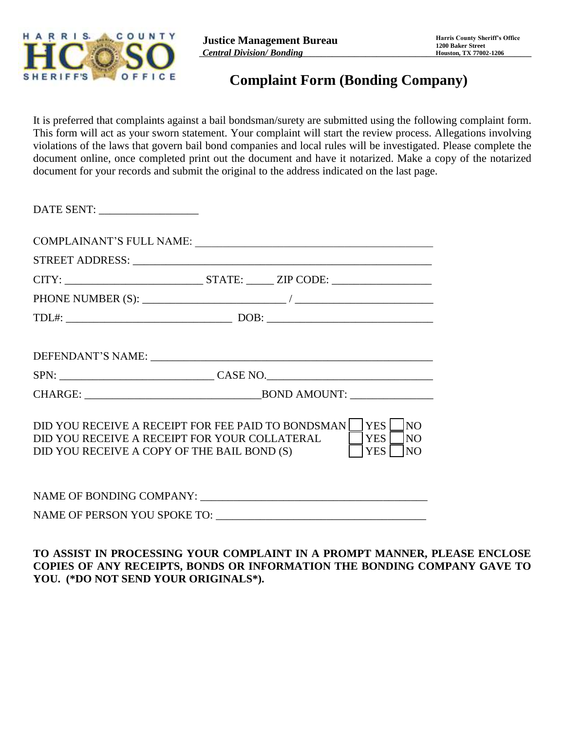

## **Complaint Form (Bonding Company)**

It is preferred that complaints against a bail bondsman/surety are submitted using the following complaint form. This form will act as your sworn statement. Your complaint will start the review process. Allegations involving violations of the laws that govern bail bond companies and local rules will be investigated. Please complete the document online, once completed print out the document and have it notarized. Make a copy of the notarized document for your records and submit the original to the address indicated on the last page.

| DATE SENT: ___________________                                                               |                                                                                                |                                    |
|----------------------------------------------------------------------------------------------|------------------------------------------------------------------------------------------------|------------------------------------|
|                                                                                              | COMPLAINANT'S FULL NAME:                                                                       |                                    |
|                                                                                              |                                                                                                |                                    |
|                                                                                              |                                                                                                |                                    |
|                                                                                              |                                                                                                |                                    |
|                                                                                              |                                                                                                |                                    |
|                                                                                              |                                                                                                |                                    |
|                                                                                              |                                                                                                |                                    |
|                                                                                              |                                                                                                |                                    |
| DID YOU RECEIVE A RECEIPT FOR YOUR COLLATERAL<br>DID YOU RECEIVE A COPY OF THE BAIL BOND (S) | DID YOU RECEIVE A RECEIPT FOR FEE PAID TO BONDSMAN     YES  <br><b>YES</b><br>YES <sup>1</sup> | NO<br><b>NO</b><br>$\overline{NQ}$ |
|                                                                                              |                                                                                                |                                    |
|                                                                                              |                                                                                                |                                    |
|                                                                                              |                                                                                                |                                    |

## **TO ASSIST IN PROCESSING YOUR COMPLAINT IN A PROMPT MANNER, PLEASE ENCLOSE COPIES OF ANY RECEIPTS, BONDS OR INFORMATION THE BONDING COMPANY GAVE TO YOU. (\*DO NOT SEND YOUR ORIGINALS\*).**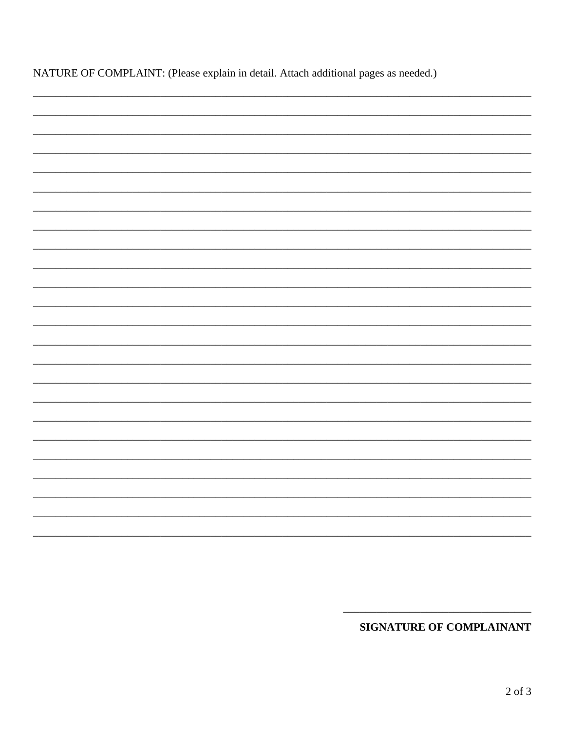| NATURE OF COMPLAINT: (Please explain in detail. Attach additional pages as needed.) |  |  |
|-------------------------------------------------------------------------------------|--|--|
|-------------------------------------------------------------------------------------|--|--|

**SIGNATURE OF COMPLAINANT**